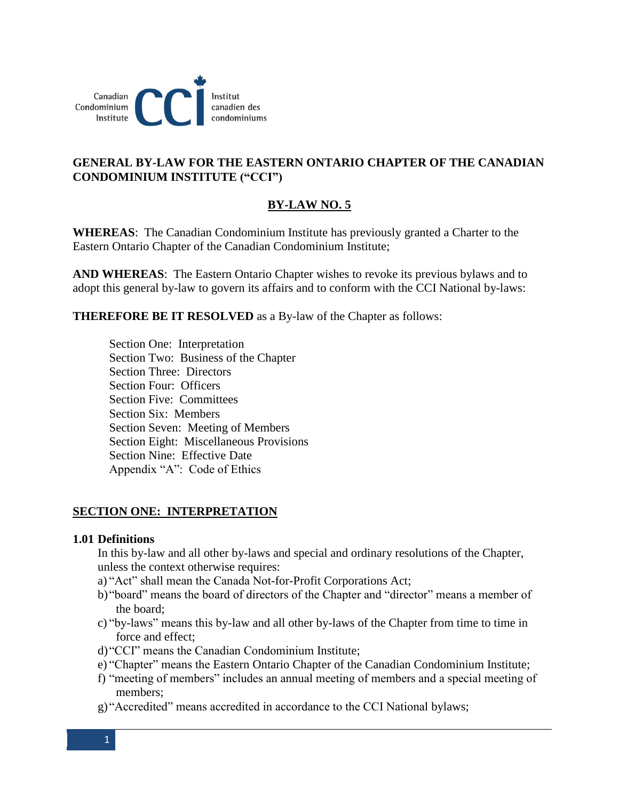

# **GENERAL BY-LAW FOR THE EASTERN ONTARIO CHAPTER OF THE CANADIAN CONDOMINIUM INSTITUTE ("CCI")**

# **BY-LAW NO. 5**

**WHEREAS**: The Canadian Condominium Institute has previously granted a Charter to the Eastern Ontario Chapter of the Canadian Condominium Institute;

**AND WHEREAS**: The Eastern Ontario Chapter wishes to revoke its previous bylaws and to adopt this general by-law to govern its affairs and to conform with the CCI National by-laws:

**THEREFORE BE IT RESOLVED** as a By-law of the Chapter as follows:

Section One: Interpretation Section Two: Business of the Chapter Section Three: Directors Section Four: Officers Section Five: Committees Section Six: Members Section Seven: Meeting of Members Section Eight: Miscellaneous Provisions Section Nine: Effective Date Appendix "A": Code of Ethics

# **SECTION ONE: INTERPRETATION**

### **1.01 Definitions**

In this by-law and all other by-laws and special and ordinary resolutions of the Chapter, unless the context otherwise requires:

- a) "Act" shall mean the Canada Not-for-Profit Corporations Act;
- b)"board" means the board of directors of the Chapter and "director" means a member of the board;
- c) "by-laws" means this by-law and all other by-laws of the Chapter from time to time in force and effect;
- d)"CCI" means the Canadian Condominium Institute;
- e) "Chapter" means the Eastern Ontario Chapter of the Canadian Condominium Institute;
- f) "meeting of members" includes an annual meeting of members and a special meeting of members;
- g) "Accredited" means accredited in accordance to the CCI National bylaws;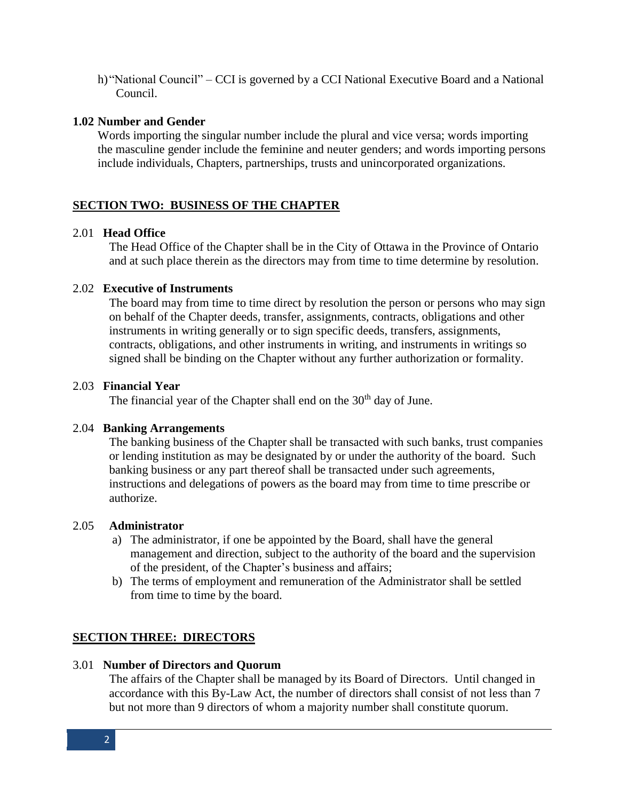h)"National Council" – CCI is governed by a CCI National Executive Board and a National Council.

## **1.02 Number and Gender**

Words importing the singular number include the plural and vice versa; words importing the masculine gender include the feminine and neuter genders; and words importing persons include individuals, Chapters, partnerships, trusts and unincorporated organizations.

# **SECTION TWO: BUSINESS OF THE CHAPTER**

### 2.01 **Head Office**

The Head Office of the Chapter shall be in the City of Ottawa in the Province of Ontario and at such place therein as the directors may from time to time determine by resolution.

### 2.02 **Executive of Instruments**

The board may from time to time direct by resolution the person or persons who may sign on behalf of the Chapter deeds, transfer, assignments, contracts, obligations and other instruments in writing generally or to sign specific deeds, transfers, assignments, contracts, obligations, and other instruments in writing, and instruments in writings so signed shall be binding on the Chapter without any further authorization or formality.

### 2.03 **Financial Year**

The financial year of the Chapter shall end on the  $30<sup>th</sup>$  day of June.

### 2.04 **Banking Arrangements**

The banking business of the Chapter shall be transacted with such banks, trust companies or lending institution as may be designated by or under the authority of the board. Such banking business or any part thereof shall be transacted under such agreements, instructions and delegations of powers as the board may from time to time prescribe or authorize.

### 2.05 **Administrator**

- a) The administrator, if one be appointed by the Board, shall have the general management and direction, subject to the authority of the board and the supervision of the president, of the Chapter's business and affairs;
- b) The terms of employment and remuneration of the Administrator shall be settled from time to time by the board.

# **SECTION THREE: DIRECTORS**

### 3.01 **Number of Directors and Quorum**

The affairs of the Chapter shall be managed by its Board of Directors. Until changed in accordance with this By-Law Act, the number of directors shall consist of not less than 7 but not more than 9 directors of whom a majority number shall constitute quorum.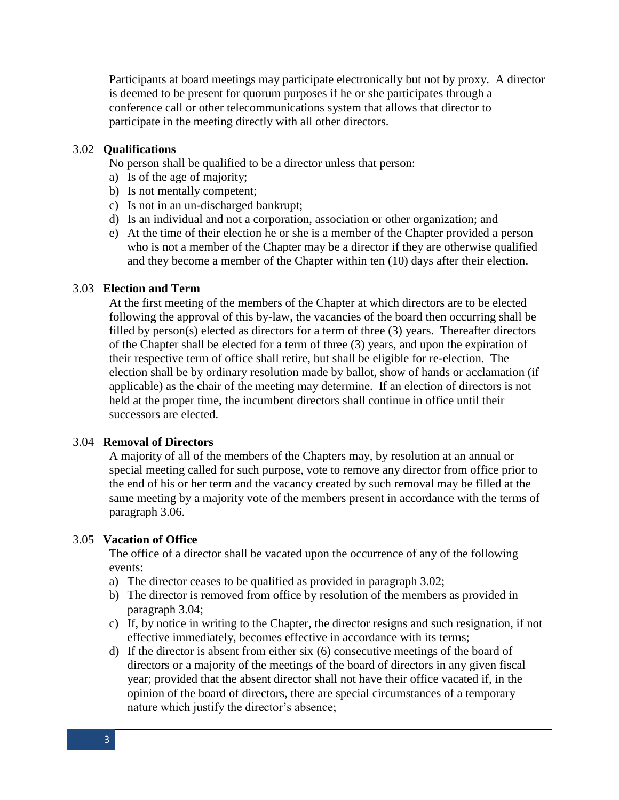Participants at board meetings may participate electronically but not by proxy. A director is deemed to be present for quorum purposes if he or she participates through a conference call or other telecommunications system that allows that director to participate in the meeting directly with all other directors.

## 3.02 **Qualifications**

No person shall be qualified to be a director unless that person:

- a) Is of the age of majority;
- b) Is not mentally competent;
- c) Is not in an un-discharged bankrupt;
- d) Is an individual and not a corporation, association or other organization; and
- e) At the time of their election he or she is a member of the Chapter provided a person who is not a member of the Chapter may be a director if they are otherwise qualified and they become a member of the Chapter within ten (10) days after their election.

### 3.03 **Election and Term**

At the first meeting of the members of the Chapter at which directors are to be elected following the approval of this by-law, the vacancies of the board then occurring shall be filled by person(s) elected as directors for a term of three (3) years. Thereafter directors of the Chapter shall be elected for a term of three (3) years, and upon the expiration of their respective term of office shall retire, but shall be eligible for re-election. The election shall be by ordinary resolution made by ballot, show of hands or acclamation (if applicable) as the chair of the meeting may determine. If an election of directors is not held at the proper time, the incumbent directors shall continue in office until their successors are elected.

### 3.04 **Removal of Directors**

A majority of all of the members of the Chapters may, by resolution at an annual or special meeting called for such purpose, vote to remove any director from office prior to the end of his or her term and the vacancy created by such removal may be filled at the same meeting by a majority vote of the members present in accordance with the terms of paragraph 3.06.

### 3.05 **Vacation of Office**

The office of a director shall be vacated upon the occurrence of any of the following events:

- a) The director ceases to be qualified as provided in paragraph 3.02;
- b) The director is removed from office by resolution of the members as provided in paragraph 3.04;
- c) If, by notice in writing to the Chapter, the director resigns and such resignation, if not effective immediately, becomes effective in accordance with its terms;
- d) If the director is absent from either six (6) consecutive meetings of the board of directors or a majority of the meetings of the board of directors in any given fiscal year; provided that the absent director shall not have their office vacated if, in the opinion of the board of directors, there are special circumstances of a temporary nature which justify the director's absence;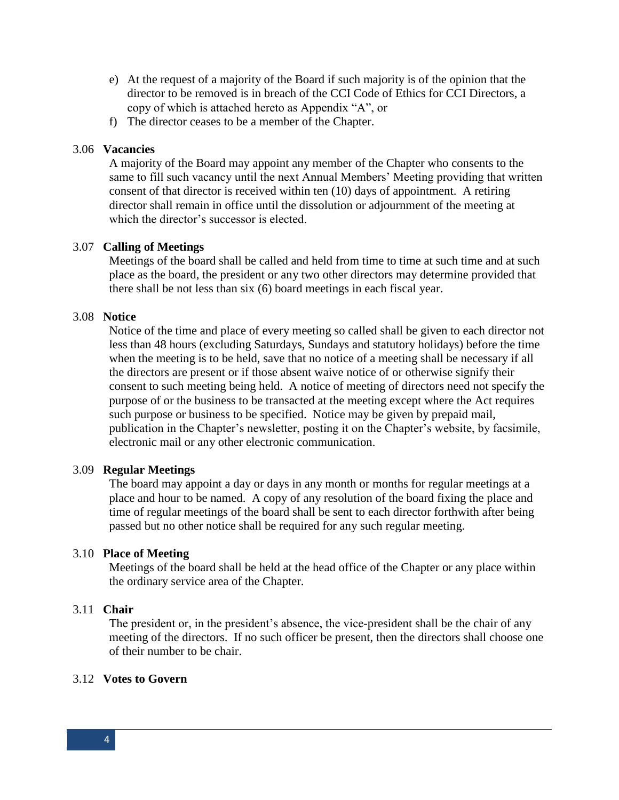- e) At the request of a majority of the Board if such majority is of the opinion that the director to be removed is in breach of the CCI Code of Ethics for CCI Directors, a copy of which is attached hereto as Appendix "A", or
- f) The director ceases to be a member of the Chapter.

## 3.06 **Vacancies**

A majority of the Board may appoint any member of the Chapter who consents to the same to fill such vacancy until the next Annual Members' Meeting providing that written consent of that director is received within ten (10) days of appointment. A retiring director shall remain in office until the dissolution or adjournment of the meeting at which the director's successor is elected.

## 3.07 **Calling of Meetings**

Meetings of the board shall be called and held from time to time at such time and at such place as the board, the president or any two other directors may determine provided that there shall be not less than six (6) board meetings in each fiscal year.

### 3.08 **Notice**

Notice of the time and place of every meeting so called shall be given to each director not less than 48 hours (excluding Saturdays, Sundays and statutory holidays) before the time when the meeting is to be held, save that no notice of a meeting shall be necessary if all the directors are present or if those absent waive notice of or otherwise signify their consent to such meeting being held. A notice of meeting of directors need not specify the purpose of or the business to be transacted at the meeting except where the Act requires such purpose or business to be specified. Notice may be given by prepaid mail, publication in the Chapter's newsletter, posting it on the Chapter's website, by facsimile, electronic mail or any other electronic communication.

### 3.09 **Regular Meetings**

The board may appoint a day or days in any month or months for regular meetings at a place and hour to be named. A copy of any resolution of the board fixing the place and time of regular meetings of the board shall be sent to each director forthwith after being passed but no other notice shall be required for any such regular meeting.

### 3.10 **Place of Meeting**

Meetings of the board shall be held at the head office of the Chapter or any place within the ordinary service area of the Chapter.

### 3.11 **Chair**

The president or, in the president's absence, the vice-president shall be the chair of any meeting of the directors. If no such officer be present, then the directors shall choose one of their number to be chair.

### 3.12 **Votes to Govern**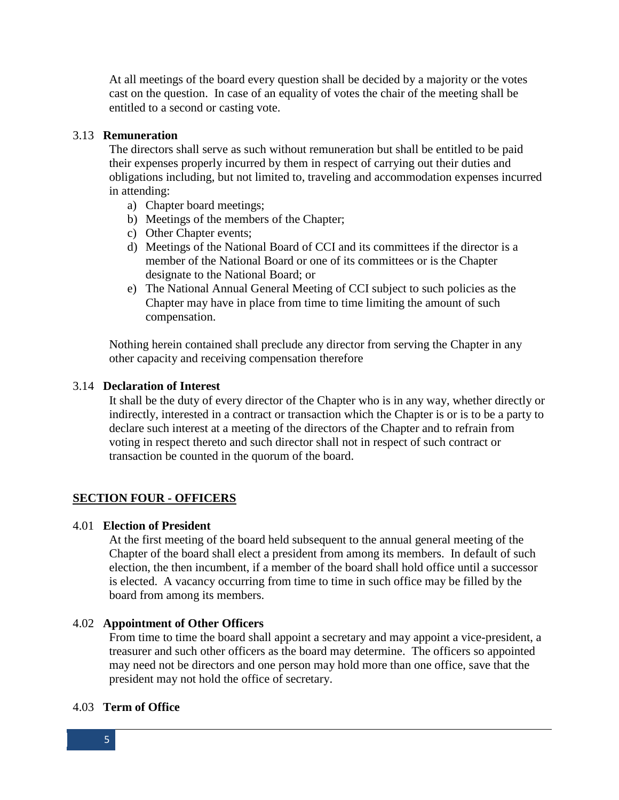At all meetings of the board every question shall be decided by a majority or the votes cast on the question. In case of an equality of votes the chair of the meeting shall be entitled to a second or casting vote.

### 3.13 **Remuneration**

The directors shall serve as such without remuneration but shall be entitled to be paid their expenses properly incurred by them in respect of carrying out their duties and obligations including, but not limited to, traveling and accommodation expenses incurred in attending:

- a) Chapter board meetings;
- b) Meetings of the members of the Chapter;
- c) Other Chapter events;
- d) Meetings of the National Board of CCI and its committees if the director is a member of the National Board or one of its committees or is the Chapter designate to the National Board; or
- e) The National Annual General Meeting of CCI subject to such policies as the Chapter may have in place from time to time limiting the amount of such compensation.

Nothing herein contained shall preclude any director from serving the Chapter in any other capacity and receiving compensation therefore

# 3.14 **Declaration of Interest**

It shall be the duty of every director of the Chapter who is in any way, whether directly or indirectly, interested in a contract or transaction which the Chapter is or is to be a party to declare such interest at a meeting of the directors of the Chapter and to refrain from voting in respect thereto and such director shall not in respect of such contract or transaction be counted in the quorum of the board.

# **SECTION FOUR - OFFICERS**

### 4.01 **Election of President**

At the first meeting of the board held subsequent to the annual general meeting of the Chapter of the board shall elect a president from among its members. In default of such election, the then incumbent, if a member of the board shall hold office until a successor is elected. A vacancy occurring from time to time in such office may be filled by the board from among its members.

### 4.02 **Appointment of Other Officers**

From time to time the board shall appoint a secretary and may appoint a vice-president, a treasurer and such other officers as the board may determine. The officers so appointed may need not be directors and one person may hold more than one office, save that the president may not hold the office of secretary.

### 4.03 **Term of Office**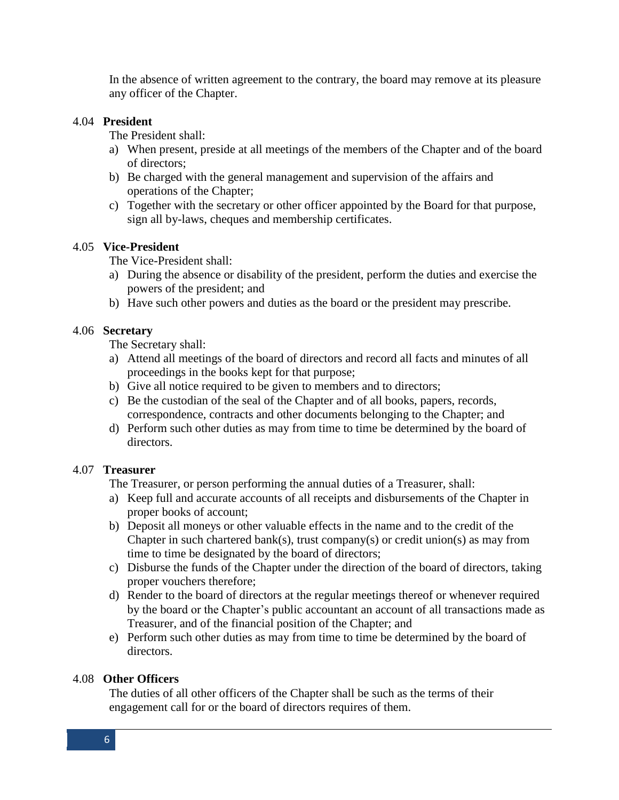In the absence of written agreement to the contrary, the board may remove at its pleasure any officer of the Chapter.

### 4.04 **President**

The President shall:

- a) When present, preside at all meetings of the members of the Chapter and of the board of directors;
- b) Be charged with the general management and supervision of the affairs and operations of the Chapter;
- c) Together with the secretary or other officer appointed by the Board for that purpose, sign all by-laws, cheques and membership certificates.

# 4.05 **Vice-President**

The Vice-President shall:

- a) During the absence or disability of the president, perform the duties and exercise the powers of the president; and
- b) Have such other powers and duties as the board or the president may prescribe.

## 4.06 **Secretary**

The Secretary shall:

- a) Attend all meetings of the board of directors and record all facts and minutes of all proceedings in the books kept for that purpose;
- b) Give all notice required to be given to members and to directors;
- c) Be the custodian of the seal of the Chapter and of all books, papers, records, correspondence, contracts and other documents belonging to the Chapter; and
- d) Perform such other duties as may from time to time be determined by the board of directors.

# 4.07 **Treasurer**

The Treasurer, or person performing the annual duties of a Treasurer, shall:

- a) Keep full and accurate accounts of all receipts and disbursements of the Chapter in proper books of account;
- b) Deposit all moneys or other valuable effects in the name and to the credit of the Chapter in such chartered bank(s), trust company(s) or credit union(s) as may from time to time be designated by the board of directors;
- c) Disburse the funds of the Chapter under the direction of the board of directors, taking proper vouchers therefore;
- d) Render to the board of directors at the regular meetings thereof or whenever required by the board or the Chapter's public accountant an account of all transactions made as Treasurer, and of the financial position of the Chapter; and
- e) Perform such other duties as may from time to time be determined by the board of directors.

# 4.08 **Other Officers**

The duties of all other officers of the Chapter shall be such as the terms of their engagement call for or the board of directors requires of them.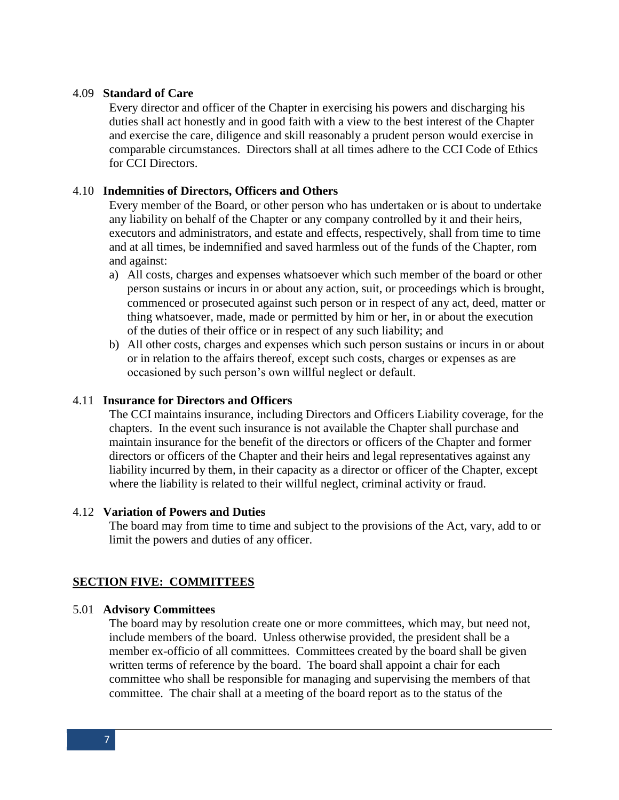### 4.09 **Standard of Care**

Every director and officer of the Chapter in exercising his powers and discharging his duties shall act honestly and in good faith with a view to the best interest of the Chapter and exercise the care, diligence and skill reasonably a prudent person would exercise in comparable circumstances. Directors shall at all times adhere to the CCI Code of Ethics for CCI Directors.

### 4.10 **Indemnities of Directors, Officers and Others**

Every member of the Board, or other person who has undertaken or is about to undertake any liability on behalf of the Chapter or any company controlled by it and their heirs, executors and administrators, and estate and effects, respectively, shall from time to time and at all times, be indemnified and saved harmless out of the funds of the Chapter, rom and against:

- a) All costs, charges and expenses whatsoever which such member of the board or other person sustains or incurs in or about any action, suit, or proceedings which is brought, commenced or prosecuted against such person or in respect of any act, deed, matter or thing whatsoever, made, made or permitted by him or her, in or about the execution of the duties of their office or in respect of any such liability; and
- b) All other costs, charges and expenses which such person sustains or incurs in or about or in relation to the affairs thereof, except such costs, charges or expenses as are occasioned by such person's own willful neglect or default.

#### 4.11 **Insurance for Directors and Officers**

The CCI maintains insurance, including Directors and Officers Liability coverage, for the chapters. In the event such insurance is not available the Chapter shall purchase and maintain insurance for the benefit of the directors or officers of the Chapter and former directors or officers of the Chapter and their heirs and legal representatives against any liability incurred by them, in their capacity as a director or officer of the Chapter, except where the liability is related to their willful neglect, criminal activity or fraud.

#### 4.12 **Variation of Powers and Duties**

The board may from time to time and subject to the provisions of the Act, vary, add to or limit the powers and duties of any officer.

### **SECTION FIVE: COMMITTEES**

#### 5.01 **Advisory Committees**

The board may by resolution create one or more committees, which may, but need not, include members of the board. Unless otherwise provided, the president shall be a member ex-officio of all committees. Committees created by the board shall be given written terms of reference by the board. The board shall appoint a chair for each committee who shall be responsible for managing and supervising the members of that committee. The chair shall at a meeting of the board report as to the status of the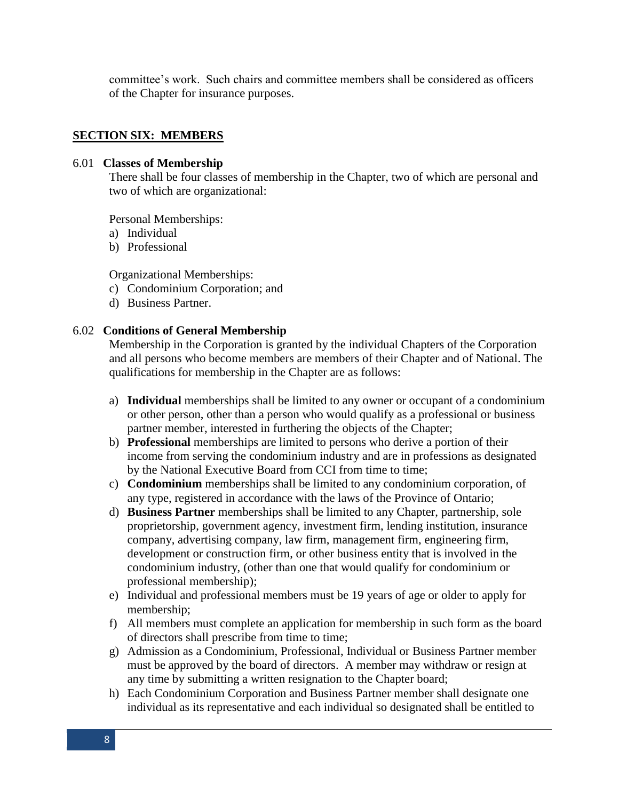committee's work. Such chairs and committee members shall be considered as officers of the Chapter for insurance purposes.

## **SECTION SIX: MEMBERS**

### 6.01 **Classes of Membership**

There shall be four classes of membership in the Chapter, two of which are personal and two of which are organizational:

Personal Memberships:

- a) Individual
- b) Professional

Organizational Memberships:

- c) Condominium Corporation; and
- d) Business Partner.

### 6.02 **Conditions of General Membership**

Membership in the Corporation is granted by the individual Chapters of the Corporation and all persons who become members are members of their Chapter and of National. The qualifications for membership in the Chapter are as follows:

- a) **Individual** memberships shall be limited to any owner or occupant of a condominium or other person, other than a person who would qualify as a professional or business partner member, interested in furthering the objects of the Chapter;
- b) **Professional** memberships are limited to persons who derive a portion of their income from serving the condominium industry and are in professions as designated by the National Executive Board from CCI from time to time;
- c) **Condominium** memberships shall be limited to any condominium corporation, of any type, registered in accordance with the laws of the Province of Ontario;
- d) **Business Partner** memberships shall be limited to any Chapter, partnership, sole proprietorship, government agency, investment firm, lending institution, insurance company, advertising company, law firm, management firm, engineering firm, development or construction firm, or other business entity that is involved in the condominium industry, (other than one that would qualify for condominium or professional membership);
- e) Individual and professional members must be 19 years of age or older to apply for membership;
- f) All members must complete an application for membership in such form as the board of directors shall prescribe from time to time;
- g) Admission as a Condominium, Professional, Individual or Business Partner member must be approved by the board of directors. A member may withdraw or resign at any time by submitting a written resignation to the Chapter board;
- h) Each Condominium Corporation and Business Partner member shall designate one individual as its representative and each individual so designated shall be entitled to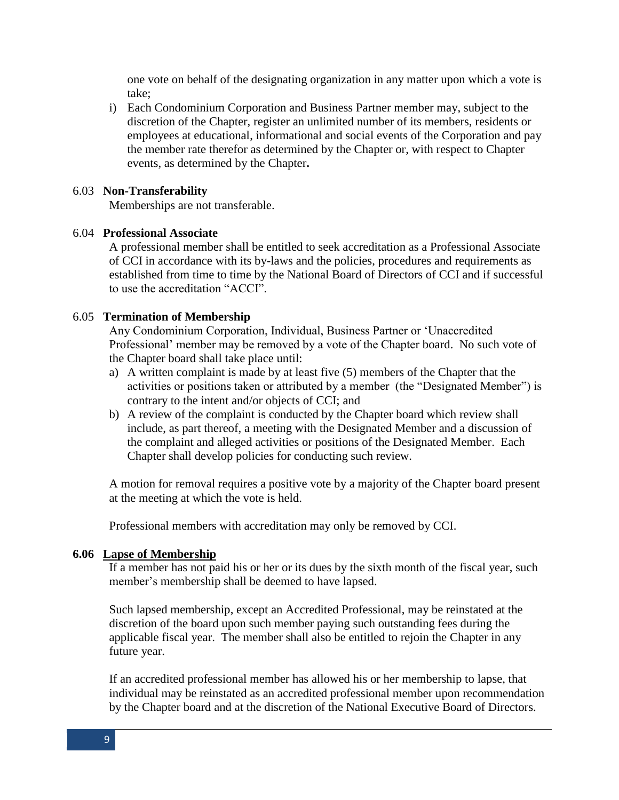one vote on behalf of the designating organization in any matter upon which a vote is take;

i) Each Condominium Corporation and Business Partner member may, subject to the discretion of the Chapter, register an unlimited number of its members, residents or employees at educational, informational and social events of the Corporation and pay the member rate therefor as determined by the Chapter or, with respect to Chapter events, as determined by the Chapter**.**

## 6.03 **Non-Transferability**

Memberships are not transferable.

## 6.04 **Professional Associate**

A professional member shall be entitled to seek accreditation as a Professional Associate of CCI in accordance with its by-laws and the policies, procedures and requirements as established from time to time by the National Board of Directors of CCI and if successful to use the accreditation "ACCI".

## 6.05 **Termination of Membership**

Any Condominium Corporation, Individual, Business Partner or 'Unaccredited Professional' member may be removed by a vote of the Chapter board. No such vote of the Chapter board shall take place until:

- a) A written complaint is made by at least five (5) members of the Chapter that the activities or positions taken or attributed by a member (the "Designated Member") is contrary to the intent and/or objects of CCI; and
- b) A review of the complaint is conducted by the Chapter board which review shall include, as part thereof, a meeting with the Designated Member and a discussion of the complaint and alleged activities or positions of the Designated Member. Each Chapter shall develop policies for conducting such review.

A motion for removal requires a positive vote by a majority of the Chapter board present at the meeting at which the vote is held.

Professional members with accreditation may only be removed by CCI.

### **6.06 Lapse of Membership**

If a member has not paid his or her or its dues by the sixth month of the fiscal year, such member's membership shall be deemed to have lapsed.

Such lapsed membership, except an Accredited Professional, may be reinstated at the discretion of the board upon such member paying such outstanding fees during the applicable fiscal year. The member shall also be entitled to rejoin the Chapter in any future year.

If an accredited professional member has allowed his or her membership to lapse, that individual may be reinstated as an accredited professional member upon recommendation by the Chapter board and at the discretion of the National Executive Board of Directors.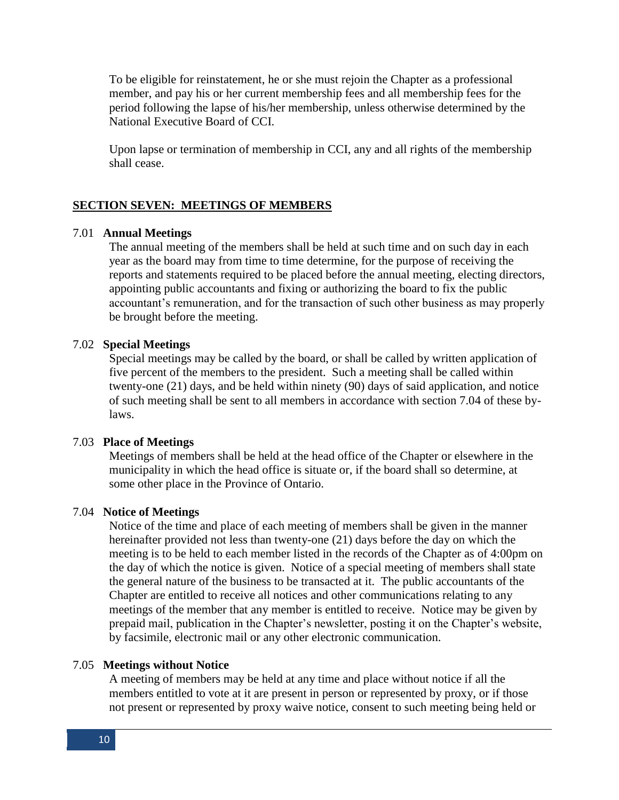To be eligible for reinstatement, he or she must rejoin the Chapter as a professional member, and pay his or her current membership fees and all membership fees for the period following the lapse of his/her membership, unless otherwise determined by the National Executive Board of CCI.

Upon lapse or termination of membership in CCI, any and all rights of the membership shall cease.

### **SECTION SEVEN: MEETINGS OF MEMBERS**

#### 7.01 **Annual Meetings**

The annual meeting of the members shall be held at such time and on such day in each year as the board may from time to time determine, for the purpose of receiving the reports and statements required to be placed before the annual meeting, electing directors, appointing public accountants and fixing or authorizing the board to fix the public accountant's remuneration, and for the transaction of such other business as may properly be brought before the meeting.

#### 7.02 **Special Meetings**

Special meetings may be called by the board, or shall be called by written application of five percent of the members to the president. Such a meeting shall be called within twenty-one (21) days, and be held within ninety (90) days of said application, and notice of such meeting shall be sent to all members in accordance with section 7.04 of these bylaws.

#### 7.03 **Place of Meetings**

Meetings of members shall be held at the head office of the Chapter or elsewhere in the municipality in which the head office is situate or, if the board shall so determine, at some other place in the Province of Ontario.

#### 7.04 **Notice of Meetings**

Notice of the time and place of each meeting of members shall be given in the manner hereinafter provided not less than twenty-one (21) days before the day on which the meeting is to be held to each member listed in the records of the Chapter as of 4:00pm on the day of which the notice is given. Notice of a special meeting of members shall state the general nature of the business to be transacted at it. The public accountants of the Chapter are entitled to receive all notices and other communications relating to any meetings of the member that any member is entitled to receive. Notice may be given by prepaid mail, publication in the Chapter's newsletter, posting it on the Chapter's website, by facsimile, electronic mail or any other electronic communication.

### 7.05 **Meetings without Notice**

A meeting of members may be held at any time and place without notice if all the members entitled to vote at it are present in person or represented by proxy, or if those not present or represented by proxy waive notice, consent to such meeting being held or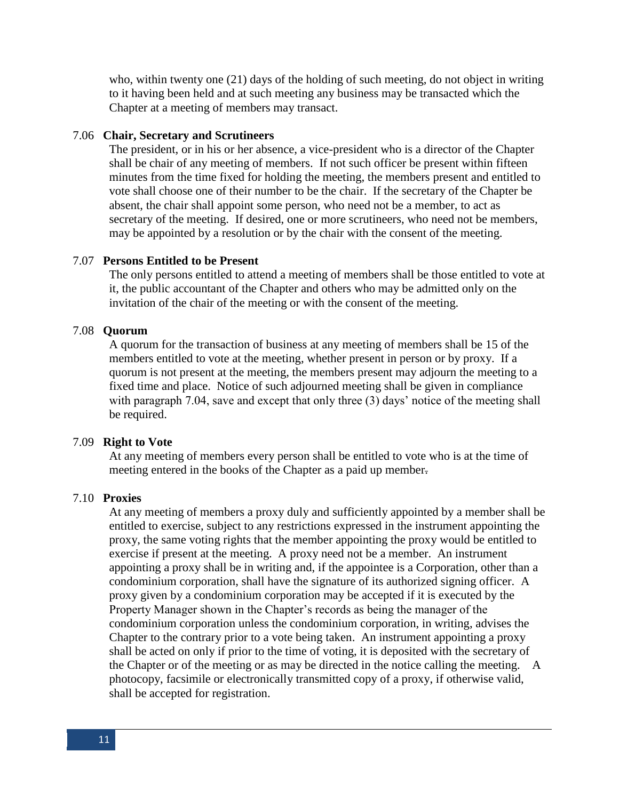who, within twenty one (21) days of the holding of such meeting, do not object in writing to it having been held and at such meeting any business may be transacted which the Chapter at a meeting of members may transact.

#### 7.06 **Chair, Secretary and Scrutineers**

The president, or in his or her absence, a vice-president who is a director of the Chapter shall be chair of any meeting of members. If not such officer be present within fifteen minutes from the time fixed for holding the meeting, the members present and entitled to vote shall choose one of their number to be the chair. If the secretary of the Chapter be absent, the chair shall appoint some person, who need not be a member, to act as secretary of the meeting. If desired, one or more scrutineers, who need not be members, may be appointed by a resolution or by the chair with the consent of the meeting.

### 7.07 **Persons Entitled to be Present**

The only persons entitled to attend a meeting of members shall be those entitled to vote at it, the public accountant of the Chapter and others who may be admitted only on the invitation of the chair of the meeting or with the consent of the meeting.

### 7.08 **Quorum**

A quorum for the transaction of business at any meeting of members shall be 15 of the members entitled to vote at the meeting, whether present in person or by proxy. If a quorum is not present at the meeting, the members present may adjourn the meeting to a fixed time and place. Notice of such adjourned meeting shall be given in compliance with paragraph 7.04, save and except that only three (3) days' notice of the meeting shall be required.

#### 7.09 **Right to Vote**

At any meeting of members every person shall be entitled to vote who is at the time of meeting entered in the books of the Chapter as a paid up member.

### 7.10 **Proxies**

At any meeting of members a proxy duly and sufficiently appointed by a member shall be entitled to exercise, subject to any restrictions expressed in the instrument appointing the proxy, the same voting rights that the member appointing the proxy would be entitled to exercise if present at the meeting. A proxy need not be a member. An instrument appointing a proxy shall be in writing and, if the appointee is a Corporation, other than a condominium corporation, shall have the signature of its authorized signing officer. A proxy given by a condominium corporation may be accepted if it is executed by the Property Manager shown in the Chapter's records as being the manager of the condominium corporation unless the condominium corporation, in writing, advises the Chapter to the contrary prior to a vote being taken. An instrument appointing a proxy shall be acted on only if prior to the time of voting, it is deposited with the secretary of the Chapter or of the meeting or as may be directed in the notice calling the meeting. A photocopy, facsimile or electronically transmitted copy of a proxy, if otherwise valid, shall be accepted for registration.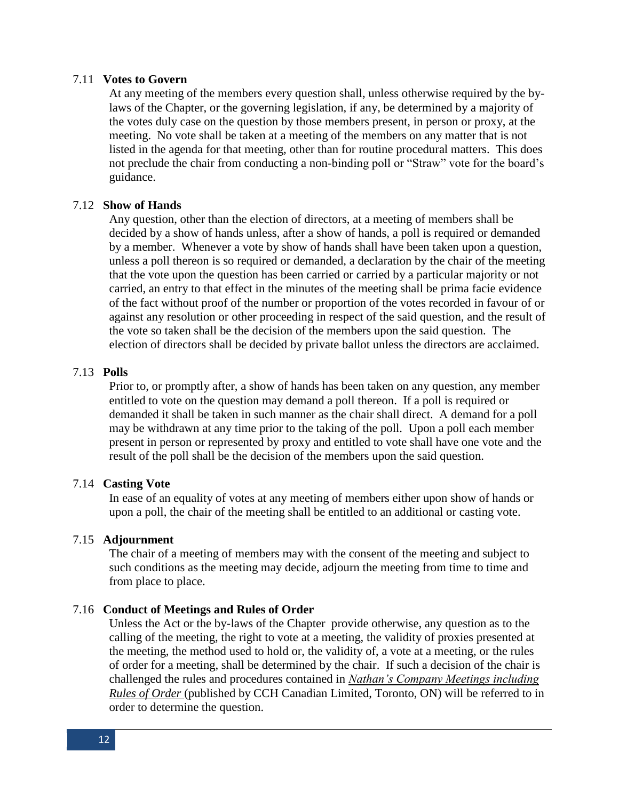### 7.11 **Votes to Govern**

At any meeting of the members every question shall, unless otherwise required by the bylaws of the Chapter, or the governing legislation, if any, be determined by a majority of the votes duly case on the question by those members present, in person or proxy, at the meeting. No vote shall be taken at a meeting of the members on any matter that is not listed in the agenda for that meeting, other than for routine procedural matters. This does not preclude the chair from conducting a non-binding poll or "Straw" vote for the board's guidance.

### 7.12 **Show of Hands**

Any question, other than the election of directors, at a meeting of members shall be decided by a show of hands unless, after a show of hands, a poll is required or demanded by a member. Whenever a vote by show of hands shall have been taken upon a question, unless a poll thereon is so required or demanded, a declaration by the chair of the meeting that the vote upon the question has been carried or carried by a particular majority or not carried, an entry to that effect in the minutes of the meeting shall be prima facie evidence of the fact without proof of the number or proportion of the votes recorded in favour of or against any resolution or other proceeding in respect of the said question, and the result of the vote so taken shall be the decision of the members upon the said question. The election of directors shall be decided by private ballot unless the directors are acclaimed.

## 7.13 **Polls**

Prior to, or promptly after, a show of hands has been taken on any question, any member entitled to vote on the question may demand a poll thereon. If a poll is required or demanded it shall be taken in such manner as the chair shall direct. A demand for a poll may be withdrawn at any time prior to the taking of the poll. Upon a poll each member present in person or represented by proxy and entitled to vote shall have one vote and the result of the poll shall be the decision of the members upon the said question.

### 7.14 **Casting Vote**

In ease of an equality of votes at any meeting of members either upon show of hands or upon a poll, the chair of the meeting shall be entitled to an additional or casting vote.

### 7.15 **Adjournment**

The chair of a meeting of members may with the consent of the meeting and subject to such conditions as the meeting may decide, adjourn the meeting from time to time and from place to place.

#### 7.16 **Conduct of Meetings and Rules of Order**

Unless the Act or the by-laws of the Chapter provide otherwise, any question as to the calling of the meeting, the right to vote at a meeting, the validity of proxies presented at the meeting, the method used to hold or, the validity of, a vote at a meeting, or the rules of order for a meeting, shall be determined by the chair. If such a decision of the chair is challenged the rules and procedures contained in *Nathan's Company Meetings including Rules of Order* (published by CCH Canadian Limited, Toronto, ON) will be referred to in order to determine the question.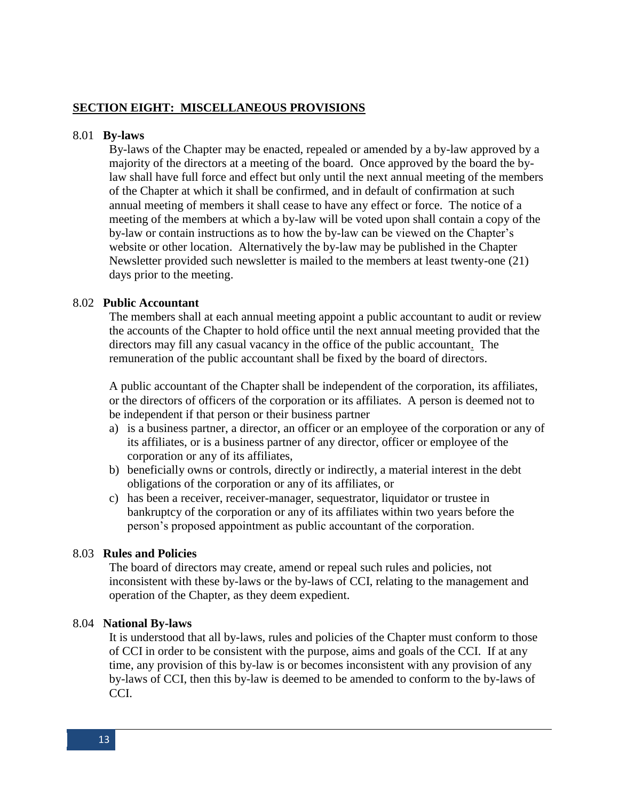# **SECTION EIGHT: MISCELLANEOUS PROVISIONS**

#### 8.01 **By-laws**

By-laws of the Chapter may be enacted, repealed or amended by a by-law approved by a majority of the directors at a meeting of the board. Once approved by the board the bylaw shall have full force and effect but only until the next annual meeting of the members of the Chapter at which it shall be confirmed, and in default of confirmation at such annual meeting of members it shall cease to have any effect or force. The notice of a meeting of the members at which a by-law will be voted upon shall contain a copy of the by-law or contain instructions as to how the by-law can be viewed on the Chapter's website or other location. Alternatively the by-law may be published in the Chapter Newsletter provided such newsletter is mailed to the members at least twenty-one (21) days prior to the meeting.

### 8.02 **Public Accountant**

The members shall at each annual meeting appoint a public accountant to audit or review the accounts of the Chapter to hold office until the next annual meeting provided that the directors may fill any casual vacancy in the office of the public accountant. The remuneration of the public accountant shall be fixed by the board of directors.

A public accountant of the Chapter shall be independent of the corporation, its affiliates, or the directors of officers of the corporation or its affiliates. A person is deemed not to be independent if that person or their business partner

- a) is a business partner, a director, an officer or an employee of the corporation or any of its affiliates, or is a business partner of any director, officer or employee of the corporation or any of its affiliates,
- b) beneficially owns or controls, directly or indirectly, a material interest in the debt obligations of the corporation or any of its affiliates, or
- c) has been a receiver, receiver-manager, sequestrator, liquidator or trustee in bankruptcy of the corporation or any of its affiliates within two years before the person's proposed appointment as public accountant of the corporation.

#### 8.03 **Rules and Policies**

The board of directors may create, amend or repeal such rules and policies, not inconsistent with these by-laws or the by-laws of CCI, relating to the management and operation of the Chapter, as they deem expedient.

#### 8.04 **National By-laws**

It is understood that all by-laws, rules and policies of the Chapter must conform to those of CCI in order to be consistent with the purpose, aims and goals of the CCI. If at any time, any provision of this by-law is or becomes inconsistent with any provision of any by-laws of CCI, then this by-law is deemed to be amended to conform to the by-laws of CCI.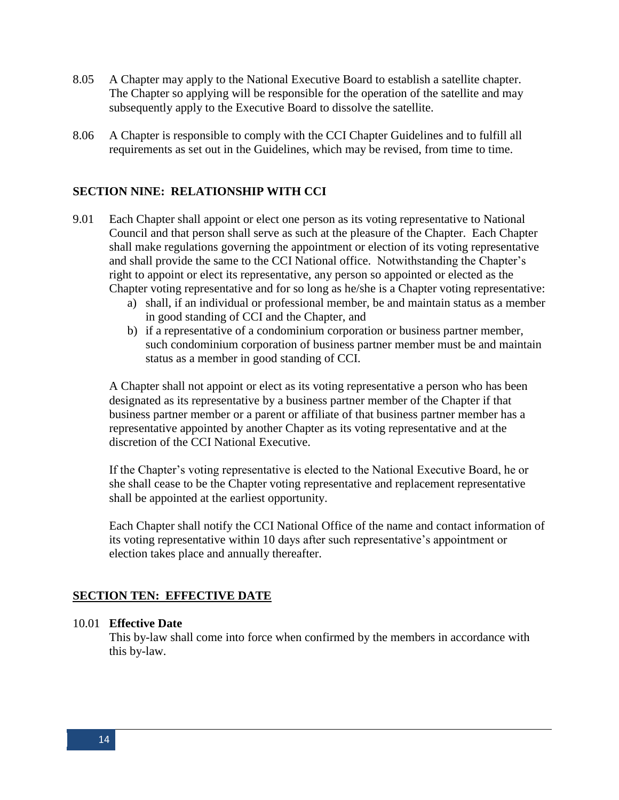- 8.05 A Chapter may apply to the National Executive Board to establish a satellite chapter. The Chapter so applying will be responsible for the operation of the satellite and may subsequently apply to the Executive Board to dissolve the satellite.
- 8.06 A Chapter is responsible to comply with the CCI Chapter Guidelines and to fulfill all requirements as set out in the Guidelines, which may be revised, from time to time.

## **SECTION NINE: RELATIONSHIP WITH CCI**

- 9.01 Each Chapter shall appoint or elect one person as its voting representative to National Council and that person shall serve as such at the pleasure of the Chapter. Each Chapter shall make regulations governing the appointment or election of its voting representative and shall provide the same to the CCI National office. Notwithstanding the Chapter's right to appoint or elect its representative, any person so appointed or elected as the Chapter voting representative and for so long as he/she is a Chapter voting representative:
	- a) shall, if an individual or professional member, be and maintain status as a member in good standing of CCI and the Chapter, and
	- b) if a representative of a condominium corporation or business partner member, such condominium corporation of business partner member must be and maintain status as a member in good standing of CCI.

A Chapter shall not appoint or elect as its voting representative a person who has been designated as its representative by a business partner member of the Chapter if that business partner member or a parent or affiliate of that business partner member has a representative appointed by another Chapter as its voting representative and at the discretion of the CCI National Executive.

If the Chapter's voting representative is elected to the National Executive Board, he or she shall cease to be the Chapter voting representative and replacement representative shall be appointed at the earliest opportunity.

Each Chapter shall notify the CCI National Office of the name and contact information of its voting representative within 10 days after such representative's appointment or election takes place and annually thereafter.

#### **SECTION TEN: EFFECTIVE DATE**

### 10.01 **Effective Date**

This by-law shall come into force when confirmed by the members in accordance with this by-law.